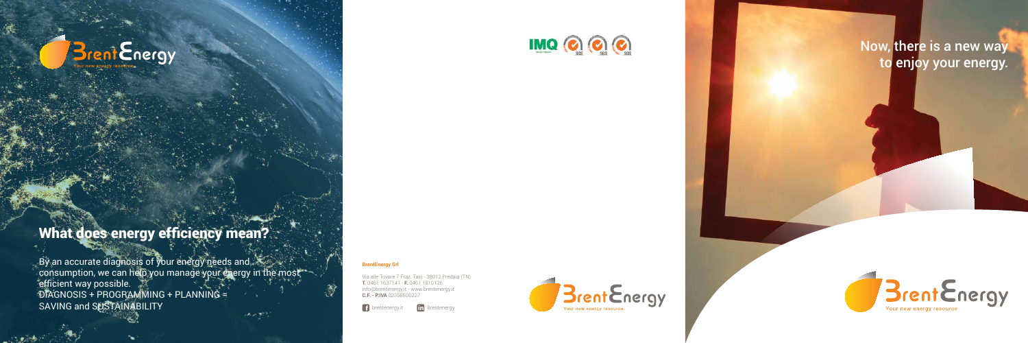# **Brent Energy**

## What does energy efficiency mean?

#### **BrentEnergy Srl**

By an accurate diagnosis of your energy needs and consumption, we can help you manage your energy in the most efficient way possible. DIAGNOSIS + PROGRAMMING + PLANNING = SAVING and SUSTAINABILITY  $\label{eq:3} \mathcal{A}(\mathcal{P}) = \sum_{i=1}^n \sum_{j=1}^n \mathcal{A}^{(i)}_{ij}$ 

Via alle Tovare 7 Fraz. Taio - 38012 Predaia (TN) **T.** 0461 1637141 - **F.** 0461 1810126 info@brentenergy.it - www.brentenergy.it **C.F. - P.IVA** 02358500227

f brentenergy.it **in** Brentenergy



#### Now, there is a new way to enjoy your energy.